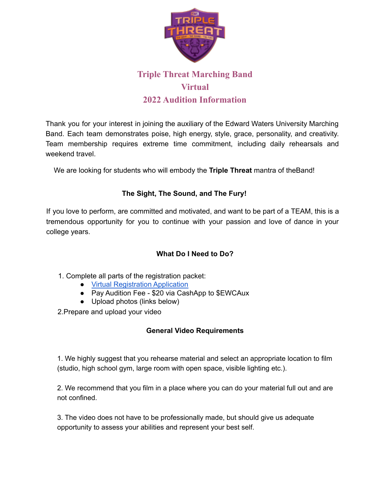

# **Triple Threat Marching Band Virtual 2022 Audition Information**

Thank you for your interest in joining the auxiliary of the Edward Waters University Marching Band. Each team demonstrates poise, high energy, style, grace, personality, and creativity. Team membership requires extreme time commitment, including daily rehearsals and weekend travel.

We are looking for students who will embody the **Triple Threat** mantra of theBand!

## **The Sight, The Sound, and The Fury!**

If you love to perform, are committed and motivated, and want to be part of a TEAM, this is a tremendous opportunity for you to continue with your passion and love of dance in your college years.

## **What Do I Need to Do?**

- 1. Complete all parts of the registration packet:
	- [Virtual Registration Application](https://forms.gle/AnqPSvhnvMkYCVpW7)
	- Pay Audition Fee \$20 via CashApp to \$EWCAux
	- Upload photos (links below)

2.Prepare and upload your video

## **General Video Requirements**

1. We highly suggest that you rehearse material and select an appropriate location to film (studio, high school gym, large room with open space, visible lighting etc.).

2. We recommend that you film in a place where you can do your material full out and are not confined.

3. The video does not have to be professionally made, but should give us adequate opportunity to assess your abilities and represent your best self.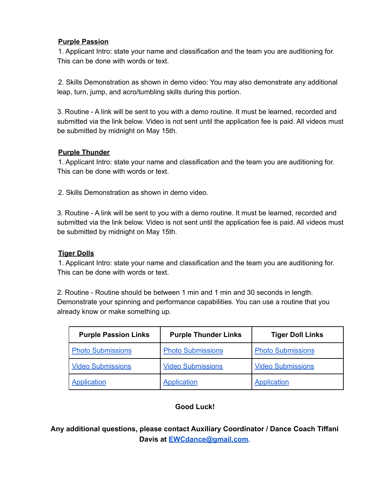#### **Purple Passion**

1. Applicant Intro: state your name and classification and the team you are auditioning for. This can be done with words or text.

2. Skills Demonstration as shown in demo video: You may also demonstrate any additional leap, turn, jump, and acro/tumbling skills during this portion.

3. Routine - A link will be sent to you with a demo routine. It must be learned, recorded and submitted via the link below. Video is not sent until the application fee is paid. All videos must be submitted by midnight on May 15th.

#### **Purple Thunder**

1. Applicant Intro: state your name and classification and the team you are auditioning for. This can be done with words or text.

2. Skills Demonstration as shown in demo video.

3. Routine - A link will be sent to you with a demo routine. It must be learned, recorded and submitted via the link below. Video is not sent until the application fee is paid. All videos must be submitted by midnight on May 15th.

### **Tiger Dolls**

1. Applicant Intro: state your name and classification and the team you are auditioning for. This can be done with words or text.

2. Routine - Routine should be between 1 min and 1 min and 30 seconds in length. Demonstrate your spinning and performance capabilities. You can use a routine that you already know or make something up.

| <b>Purple Passion Links</b> | <b>Purple Thunder Links</b> | <b>Tiger Doll Links</b>  |
|-----------------------------|-----------------------------|--------------------------|
| <b>Photo Submissions</b>    | <b>Photo Submissions</b>    | <b>Photo Submissions</b> |
| <b>Video Submissions</b>    | <b>Video Submissions</b>    | <b>Video Submissions</b> |
| <b>Application</b>          | Application                 | Application              |

## **Good Luck!**

**Any additional questions, please contact Auxiliary Coordinator / Dance Coach Tiffani Davis at EWCdance@gmail.com.**